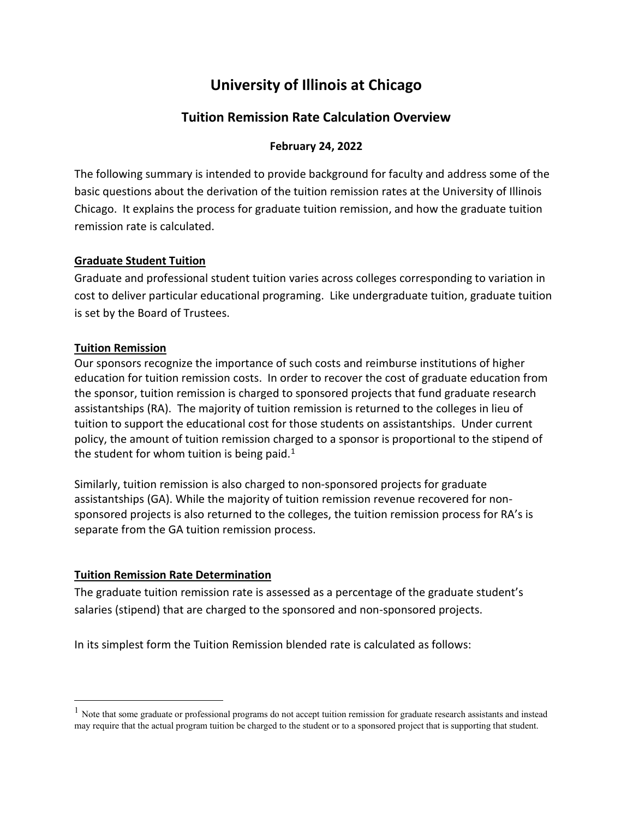# **University of Illinois at Chicago**

# **Tuition Remission Rate Calculation Overview**

# **February 24, 2022**

The following summary is intended to provide background for faculty and address some of the basic questions about the derivation of the tuition remission rates at the University of Illinois Chicago. It explains the process for graduate tuition remission, and how the graduate tuition remission rate is calculated.

# **Graduate Student Tuition**

Graduate and professional student tuition varies across colleges corresponding to variation in cost to deliver particular educational programing. Like undergraduate tuition, graduate tuition is set by the Board of Trustees.

# **Tuition Remission**

Our sponsors recognize the importance of such costs and reimburse institutions of higher education for tuition remission costs. In order to recover the cost of graduate education from the sponsor, tuition remission is charged to sponsored projects that fund graduate research assistantships (RA). The majority of tuition remission is returned to the colleges in lieu of tuition to support the educational cost for those students on assistantships. Under current policy, the amount of tuition remission charged to a sponsor is proportional to the stipend of the student for whom tuition is being paid.<sup>[1](#page-0-0)</sup>

Similarly, tuition remission is also charged to non-sponsored projects for graduate assistantships (GA). While the majority of tuition remission revenue recovered for nonsponsored projects is also returned to the colleges, the tuition remission process for RA's is separate from the GA tuition remission process.

# **Tuition Remission Rate Determination**

The graduate tuition remission rate is assessed as a percentage of the graduate student's salaries (stipend) that are charged to the sponsored and non-sponsored projects.

In its simplest form the Tuition Remission blended rate is calculated as follows:

<span id="page-0-0"></span> $<sup>1</sup>$  Note that some graduate or professional programs do not accept tuition remission for graduate research assistants and instead</sup> may require that the actual program tuition be charged to the student or to a sponsored project that is supporting that student.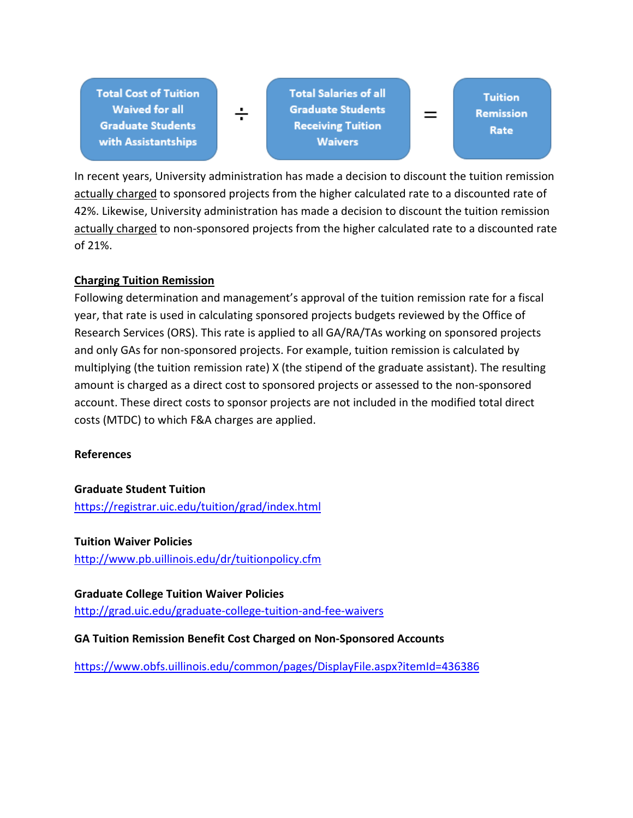**Total Cost of Tuition Waived for all Graduate Students** with Assistantships

**Total Salaries of all Graduate Students Receiving Tuition Waivers** 

**Tuition** Remission Rate

 $\equiv$ 

In recent years, University administration has made a decision to discount the tuition remission actually charged to sponsored projects from the higher calculated rate to a discounted rate of 42%. Likewise, University administration has made a decision to discount the tuition remission actually charged to non-sponsored projects from the higher calculated rate to a discounted rate of 21%.

# **Charging Tuition Remission**

Following determination and management's approval of the tuition remission rate for a fiscal year, that rate is used in calculating sponsored projects budgets reviewed by the Office of Research Services (ORS). This rate is applied to all GA/RA/TAs working on sponsored projects and only GAs for non-sponsored projects. For example, tuition remission is calculated by multiplying (the tuition remission rate) X (the stipend of the graduate assistant). The resulting amount is charged as a direct cost to sponsored projects or assessed to the non-sponsored account. These direct costs to sponsor projects are not included in the modified total direct costs (MTDC) to which F&A charges are applied.

# **References**

# **Graduate Student Tuition**

<https://registrar.uic.edu/tuition/grad/index.html>

# **Tuition Waiver Policies**

<http://www.pb.uillinois.edu/dr/tuitionpolicy.cfm>

# **Graduate College Tuition Waiver Policies**

<http://grad.uic.edu/graduate-college-tuition-and-fee-waivers>

# **GA Tuition Remission Benefit Cost Charged on Non-Sponsored Accounts**

<https://www.obfs.uillinois.edu/common/pages/DisplayFile.aspx?itemId=436386>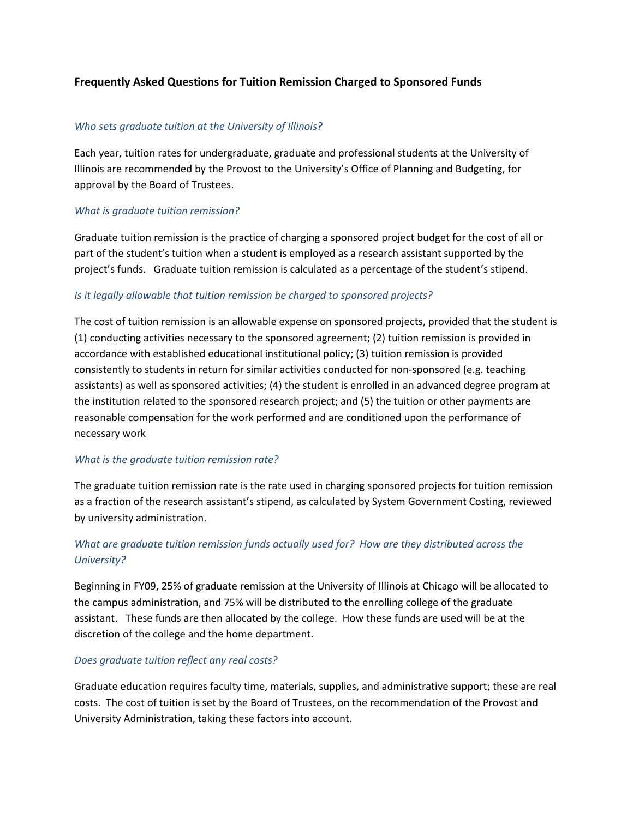### **Frequently Asked Questions for Tuition Remission Charged to Sponsored Funds**

#### *Who sets graduate tuition at the University of Illinois?*

Each year, tuition rates for undergraduate, graduate and professional students at the University of Illinois are recommended by the Provost to the University's Office of Planning and Budgeting, for approval by the Board of Trustees.

#### *What is graduate tuition remission?*

Graduate tuition remission is the practice of charging a sponsored project budget for the cost of all or part of the student's tuition when a student is employed as a research assistant supported by the project's funds. Graduate tuition remission is calculated as a percentage of the student's stipend.

#### *Is it legally allowable that tuition remission be charged to sponsored projects?*

The cost of tuition remission is an allowable expense on sponsored projects, provided that the student is (1) conducting activities necessary to the sponsored agreement; (2) tuition remission is provided in accordance with established educational institutional policy; (3) tuition remission is provided consistently to students in return for similar activities conducted for non-sponsored (e.g. teaching assistants) as well as sponsored activities; (4) the student is enrolled in an advanced degree program at the institution related to the sponsored research project; and (5) the tuition or other payments are reasonable compensation for the work performed and are conditioned upon the performance of necessary work

#### *What is the graduate tuition remission rate?*

The graduate tuition remission rate is the rate used in charging sponsored projects for tuition remission as a fraction of the research assistant's stipend, as calculated by System Government Costing, reviewed by university administration.

### *What are graduate tuition remission funds actually used for? How are they distributed across the University?*

Beginning in FY09, 25% of graduate remission at the University of Illinois at Chicago will be allocated to the campus administration, and 75% will be distributed to the enrolling college of the graduate assistant. These funds are then allocated by the college. How these funds are used will be at the discretion of the college and the home department.

#### *Does graduate tuition reflect any real costs?*

Graduate education requires faculty time, materials, supplies, and administrative support; these are real costs. The cost of tuition is set by the Board of Trustees, on the recommendation of the Provost and University Administration, taking these factors into account.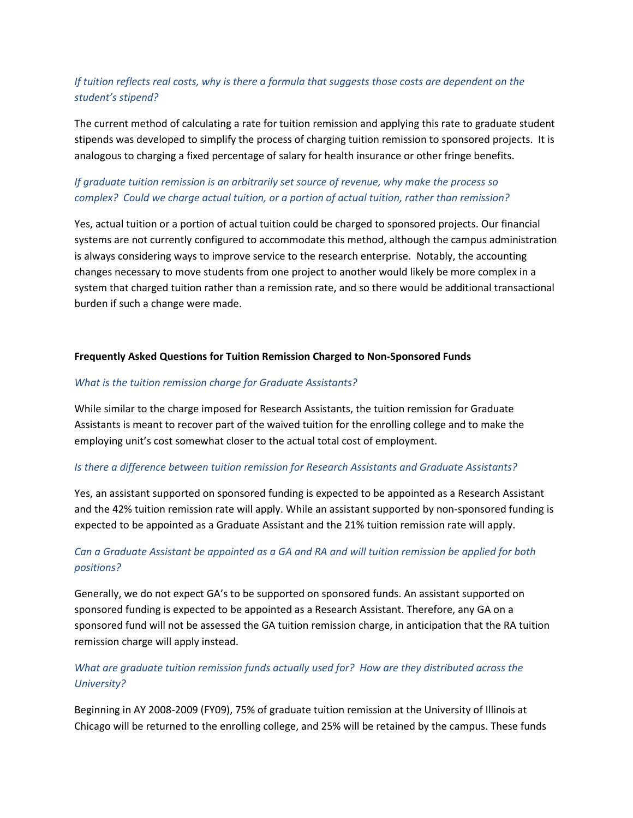# *If tuition reflects real costs, why is there a formula that suggests those costs are dependent on the student's stipend?*

The current method of calculating a rate for tuition remission and applying this rate to graduate student stipends was developed to simplify the process of charging tuition remission to sponsored projects. It is analogous to charging a fixed percentage of salary for health insurance or other fringe benefits.

# *If graduate tuition remission is an arbitrarily set source of revenue, why make the process so complex? Could we charge actual tuition, or a portion of actual tuition, rather than remission?*

Yes, actual tuition or a portion of actual tuition could be charged to sponsored projects. Our financial systems are not currently configured to accommodate this method, although the campus administration is always considering ways to improve service to the research enterprise. Notably, the accounting changes necessary to move students from one project to another would likely be more complex in a system that charged tuition rather than a remission rate, and so there would be additional transactional burden if such a change were made.

#### **Frequently Asked Questions for Tuition Remission Charged to Non-Sponsored Funds**

#### *What is the tuition remission charge for Graduate Assistants?*

While similar to the charge imposed for Research Assistants, the tuition remission for Graduate Assistants is meant to recover part of the waived tuition for the enrolling college and to make the employing unit's cost somewhat closer to the actual total cost of employment.

#### *Is there a difference between tuition remission for Research Assistants and Graduate Assistants?*

Yes, an assistant supported on sponsored funding is expected to be appointed as a Research Assistant and the 42% tuition remission rate will apply. While an assistant supported by non-sponsored funding is expected to be appointed as a Graduate Assistant and the 21% tuition remission rate will apply.

# *Can a Graduate Assistant be appointed as a GA and RA and will tuition remission be applied for both positions?*

Generally, we do not expect GA's to be supported on sponsored funds. An assistant supported on sponsored funding is expected to be appointed as a Research Assistant. Therefore, any GA on a sponsored fund will not be assessed the GA tuition remission charge, in anticipation that the RA tuition remission charge will apply instead.

# *What are graduate tuition remission funds actually used for? How are they distributed across the University?*

Beginning in AY 2008-2009 (FY09), 75% of graduate tuition remission at the University of Illinois at Chicago will be returned to the enrolling college, and 25% will be retained by the campus. These funds